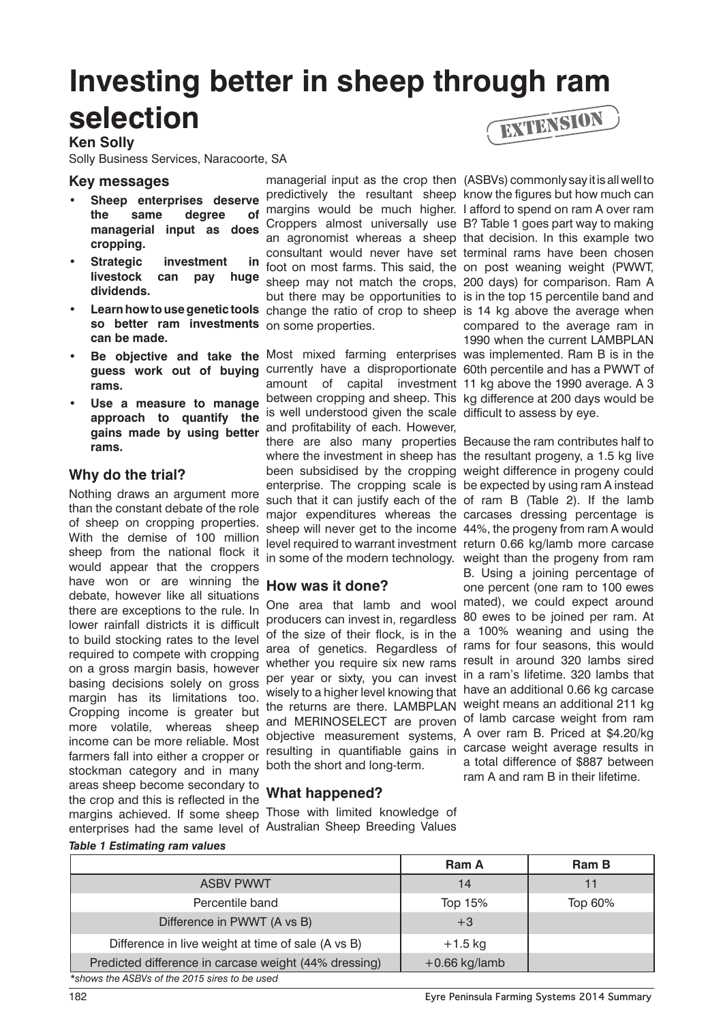# **Investing better in sheep through ram selection**

#### **Ken Solly**

Solly Business Services, Naracoorte, SA

#### **Key messages**

- **• Sheep enterprises deserve the same degree of managerial input as does cropping.**
- **Strategic** investment in **livestock can pay huge dividends.**
- **so better ram investments**  on some properties. **can be made.**
- **rams.**
- Use a measure to manage **approach to quantify the gains made by using better rams.**

### **Why do the trial?**

Nothing draws an argument more than the constant debate of the role of sheep on cropping properties. With the demise of 100 million sheep from the national flock it would appear that the croppers have won or are winning the debate, however like all situations there are exceptions to the rule. In lower rainfall districts it is difficult to build stocking rates to the level required to compete with cropping on a gross margin basis, however basing decisions solely on gross margin has its limitations too. Cropping income is greater but more volatile, whereas sheep income can be more reliable. Most farmers fall into either a cropper or stockman category and in many areas sheep become secondary to the crop and this is reflected in the margins achieved. If some sheep Those with limited knowledge of enterprises had the same level of Australian Sheep Breeding Values

**• Learn how to use genetic tools** change the ratio of crop to sheep is 14 kg above the average when managerial input as the crop then (ASBVs) commonly say it is all well to predictively the resultant sheep know the figures but how much can margins would be much higher. I afford to spend on ram A over ram Croppers almost universally use B? Table 1 goes part way to making an agronomist whereas a sheep that decision. In this example two consultant would never have set terminal rams have been chosen foot on most farms. This said, the on post weaning weight (PWWT, sheep may not match the crops, 200 days) for comparison. Ram A but there may be opportunities to is in the top 15 percentile band and

• Be objective and take the Most mixed farming enterprises was implemented. Ram B is in the guess work out of buying currently have a disproportionate 60th percentile and has a PWWT of amount of capital investment 11 kg above the 1990 average. A 3 between cropping and sheep. This kg difference at 200 days would be is well understood given the scale difficult to assess by eye. and profitability of each. However, there are also many properties Because the ram contributes half to where the investment in sheep has the resultant progeny, a 1.5 kg live been subsidised by the cropping weight difference in progeny could enterprise. The cropping scale is be expected by using ram A instead such that it can justify each of the of ram B (Table 2). If the lamb major expenditures whereas the carcases dressing percentage is sheep will never get to the income 44%, the progeny from ram A would level required to warrant investment return 0.66 kg/lamb more carcase in some of the modern technology. weight than the progeny from ram

# **How was it done?**

producers can invest in, regardless of the size of their flock, is in the a 100% weaning and using the area of genetics. Regardless of rams for four seasons, this would whether you require six new rams per year or sixty, you can invest wisely to a higher level knowing that the returns are there. LAMBPLAN weight means an additional 211 kg and MERINOSELECT are proven of lamb carcase weight from ram objective measurement systems, resulting in quantifiable gains in carcase weight average results in both the short and long-term.

# **What happened?**



compared to the average ram in 1990 when the current LAMBPLAN

One area that lamb and wool mated), we could expect around B. Using a joining percentage of one percent (one ram to 100 ewes 80 ewes to be joined per ram. At result in around 320 lambs sired in a ram's lifetime. 320 lambs that have an additional 0.66 kg carcase A over ram B. Priced at \$4.20/kg a total difference of \$887 between ram A and ram B in their lifetime.

#### *Table 1 Estimating ram values*

|                                                       | <b>Ram A</b>    | Ram B   |
|-------------------------------------------------------|-----------------|---------|
| <b>ASBV PWWT</b>                                      | 14              |         |
| Percentile band                                       | Top 15%         | Top 60% |
| Difference in PWWT (A vs B)                           | $+3$            |         |
| Difference in live weight at time of sale (A vs B)    | $+1.5$ kg       |         |
| Predicted difference in carcase weight (44% dressing) | $+0.66$ kg/lamb |         |
| *shows the ASBVs of the 2015 sires to be used         |                 |         |

182 **Eyre Peninsula Farming Systems 2014 Summary**